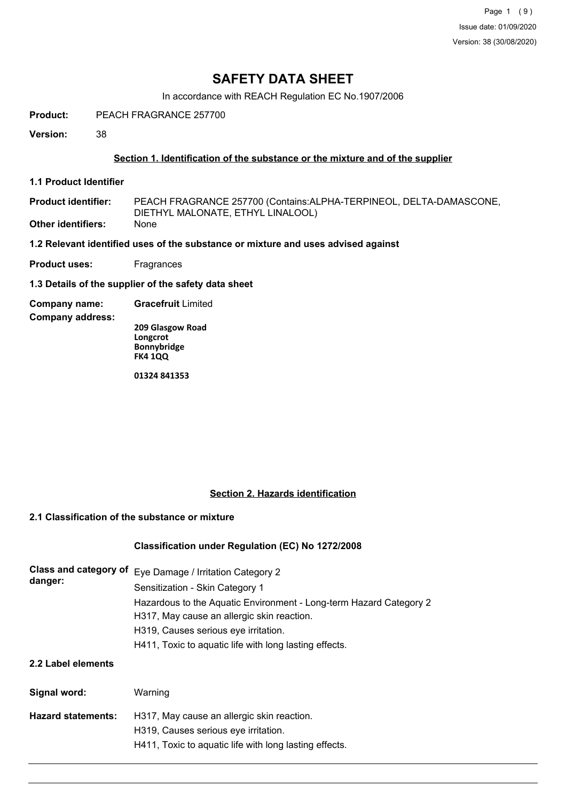Page 1 (9) Issue date: 01/09/2020 Version: 38 (30/08/2020)

# **SAFETY DATA SHEET**

In accordance with REACH Regulation EC No.1907/2006

**Product:** PEACH FRAGRANCE 257700

**Version:** 38

### **Section 1. Identification of the substance or the mixture and of the supplier**

**1.1 Product Identifier**

PEACH FRAGRANCE 257700 (Contains:ALPHA-TERPINEOL, DELTA-DAMASCONE, DIETHYL MALONATE, ETHYL LINALOOL) **Product identifier: Other identifiers:** None

**1.2 Relevant identified uses of the substance or mixture and uses advised against**

**Product uses:** Fragrances

**1.3 Details of the supplier of the safety data sheet**

**Company name: Gracefruit** Limited

**Company address:**

**209 Glasgow Road Longcrot Bonnybridge FK4 1QQ**

**01324 841353**

### **Section 2. Hazards identification**

## **2.1 Classification of the substance or mixture**

### **Classification under Regulation (EC) No 1272/2008**

| Class and category of<br>danger: | Eye Damage / Irritation Category 2<br>Sensitization - Skin Category 1<br>Hazardous to the Aquatic Environment - Long-term Hazard Category 2<br>H317, May cause an allergic skin reaction.<br>H319, Causes serious eye irritation.<br>H411, Toxic to aquatic life with long lasting effects. |
|----------------------------------|---------------------------------------------------------------------------------------------------------------------------------------------------------------------------------------------------------------------------------------------------------------------------------------------|
| 2.2 Label elements               |                                                                                                                                                                                                                                                                                             |
| Signal word:                     | Warning                                                                                                                                                                                                                                                                                     |
| <b>Hazard statements:</b>        | H317, May cause an allergic skin reaction.<br>H319, Causes serious eye irritation.<br>H411, Toxic to aquatic life with long lasting effects.                                                                                                                                                |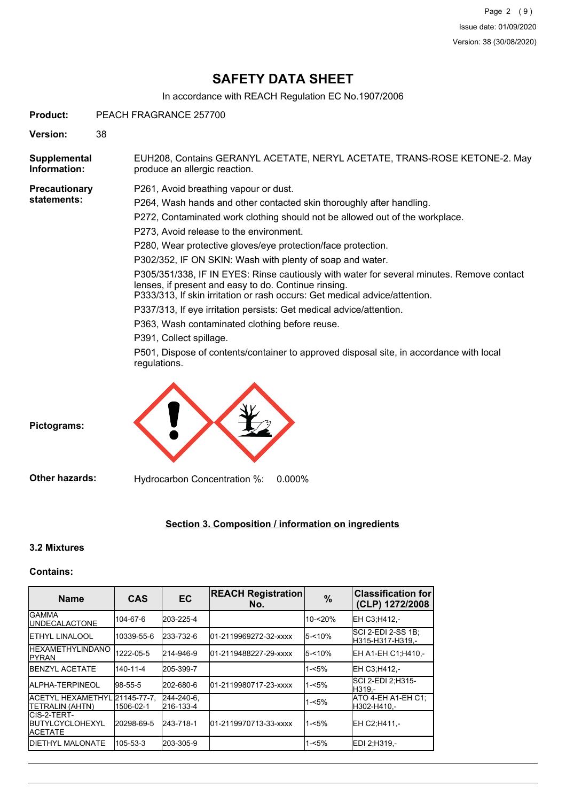# **SAFETY DATA SHEET**

In accordance with REACH Regulation EC No.1907/2006

**Product:** PEACH FRAGRANCE 257700

**Version:** 38

EUH208, Contains GERANYL ACETATE, NERYL ACETATE, TRANS-ROSE KETONE-2. May produce an allergic reaction. **Supplemental Information:**

**Precautionary statements:**

P261, Avoid breathing vapour or dust.

P264, Wash hands and other contacted skin thoroughly after handling.

- P272, Contaminated work clothing should not be allowed out of the workplace.
- P273, Avoid release to the environment.
- P280, Wear protective gloves/eye protection/face protection.

P302/352, IF ON SKIN: Wash with plenty of soap and water.

P305/351/338, IF IN EYES: Rinse cautiously with water for several minutes. Remove contact lenses, if present and easy to do. Continue rinsing.

P333/313, If skin irritation or rash occurs: Get medical advice/attention.

P337/313, If eye irritation persists: Get medical advice/attention.

P363, Wash contaminated clothing before reuse.

P391, Collect spillage.

P501, Dispose of contents/container to approved disposal site, in accordance with local regulations.



**Pictograms:**

**Other hazards:** Hydrocarbon Concentration %: 0.000%

## **Section 3. Composition / information on ingredients**

### **3.2 Mixtures**

#### **Contains:**

| <b>Name</b>                                         | <b>CAS</b>                | <b>EC</b>               | <b>REACH Registration</b><br>No. | $\%$      | <b>Classification for</b><br>(CLP) 1272/2008 |
|-----------------------------------------------------|---------------------------|-------------------------|----------------------------------|-----------|----------------------------------------------|
| IGAMMA<br><b>IUNDECALACTONE</b>                     | 104-67-6                  | 203-225-4               |                                  | 10-<20%   | EH C3:H412.-                                 |
| <b>IETHYL LINALOOL</b>                              | 10339-55-6                | 233-732-6               | l01-2119969272-32-xxxx           | 5-<10%    | ISCI 2-EDI 2-SS 1B:<br>H315-H317-H319.-      |
| <b>IHEXAMETHYLINDANO</b><br><b>IPYRAN</b>           | 1222-05-5                 | 214-946-9               | 01-2119488227-29-xxxx            | $5 - 10%$ | EH A1-EH C1:H410.-                           |
| <b>IBENZYL ACETATE</b>                              | 140-11-4                  | 205-399-7               |                                  | $1 - 5%$  | IEH C3:H412.-                                |
| <b>IALPHA-TERPINEOL</b>                             | 98-55-5                   | 202-680-6               | l01-2119980717-23-xxxx           | $1 - 5%$  | ISCI 2-EDI 2:H315-<br>H319.-                 |
| <b>ACETYL HEXAMETHYL</b><br><b>TETRALIN (AHTN)</b>  | .21145-77-7.<br>1506-02-1 | 244-240-6.<br>216-133-4 |                                  | $1 - 5%$  | ATO 4-EH A1-EH C1:<br>H302-H410.-            |
| ICIS-2-TERT-<br><b>IBUTYLCYCLOHEXYL</b><br>IACETATE | 20298-69-5                | 243-718-1               | 01-2119970713-33-xxxx            | $1 - 5%$  | EH C2:H411.-                                 |
| <b>IDIETHYL MALONATE</b>                            | 105-53-3                  | 203-305-9               |                                  | $1 - 5%$  | IEDI 2:H319.-                                |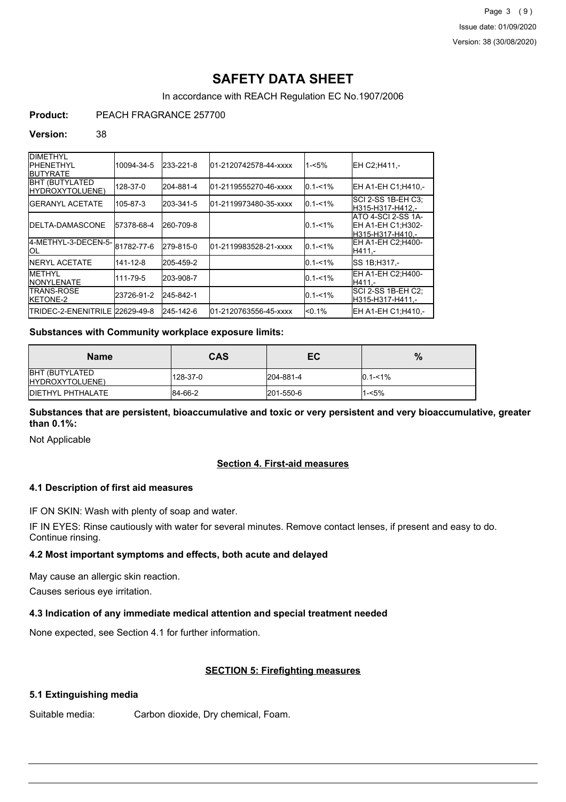# **SAFETY DATA SHEET**

In accordance with REACH Regulation EC No.1907/2006

## **Product:** PEACH FRAGRANCE 257700

#### **Version:** 38

| <b>DIMETHYL</b><br><b>IPHENETHYL</b><br><b>IBUTYRATE</b> | 10094-34-5 | 233-221-8 | 01-2120742578-44-xxxx | $1 - 5%$    | IEH C2:H411.-                                               |
|----------------------------------------------------------|------------|-----------|-----------------------|-------------|-------------------------------------------------------------|
| <b>BHT (BUTYLATED)</b><br><b>HYDROXYTOLUENE)</b>         | 128-37-0   | 204-881-4 | 01-2119555270-46-xxxx | $0.1 - 1%$  | EH A1-EH C1;H410,-                                          |
| <b>IGERANYL ACETATE</b>                                  | 105-87-3   | 203-341-5 | 01-2119973480-35-xxxx | $0.1 - 1\%$ | ISCI 2-SS 1B-EH C3:<br>H315-H317-H412.-                     |
| <b>IDELTA-DAMASCONE</b>                                  | 57378-68-4 | 260-709-8 |                       | $0.1 - 1\%$ | ATO 4-SCI 2-SS 1A-<br>EH A1-EH C1:H302-<br>H315-H317-H410.- |
| 4-METHYL-3-DECEN-5-81782-77-6<br><b>IOL</b>              |            | 279-815-0 | 01-2119983528-21-xxxx | $0.1 - 1\%$ | EH A1-EH C2;H400-<br>H411.-                                 |
| <b>INERYL ACETATE</b>                                    | 141-12-8   | 205-459-2 |                       | $0.1 - 1\%$ | <b>ISS 1B:H317.-</b>                                        |
| <b>METHYL</b><br><b>INONYLENATE</b>                      | 111-79-5   | 203-908-7 |                       | $0.1 - 1%$  | EH A1-EH C2:H400-<br>H411.-                                 |
| <b>ITRANS-ROSE</b><br><b>IKETONE-2</b>                   | 23726-91-2 | 245-842-1 |                       | $0.1 - 1\%$ | SCI 2-SS 1B-EH C2;<br>H315-H317-H411.-                      |
| ITRIDEC-2-ENENITRILE 22629-49-8                          |            | 245-142-6 | 01-2120763556-45-xxxx | $< 0.1\%$   | IEH A1-EH C1:H410.-                                         |

## **Substances with Community workplace exposure limits:**

| <b>Name</b>                              | <b>CAS</b> | EC        | $\%$        |
|------------------------------------------|------------|-----------|-------------|
| <b>BHT (BUTYLATED</b><br>HYDROXYTOLUENE) | 128-37-0   | 204-881-4 | $0.1 - 1\%$ |
| <b>IDIETHYL PHTHALATE</b>                | 84-66-2    | 201-550-6 | $1 - 5%$    |

**Substances that are persistent, bioaccumulative and toxic or very persistent and very bioaccumulative, greater than 0.1%:**

Not Applicable

## **Section 4. First-aid measures**

## **4.1 Description of first aid measures**

IF ON SKIN: Wash with plenty of soap and water.

IF IN EYES: Rinse cautiously with water for several minutes. Remove contact lenses, if present and easy to do. Continue rinsing.

### **4.2 Most important symptoms and effects, both acute and delayed**

May cause an allergic skin reaction.

Causes serious eye irritation.

### **4.3 Indication of any immediate medical attention and special treatment needed**

None expected, see Section 4.1 for further information.

### **SECTION 5: Firefighting measures**

### **5.1 Extinguishing media**

Suitable media: Carbon dioxide, Dry chemical, Foam.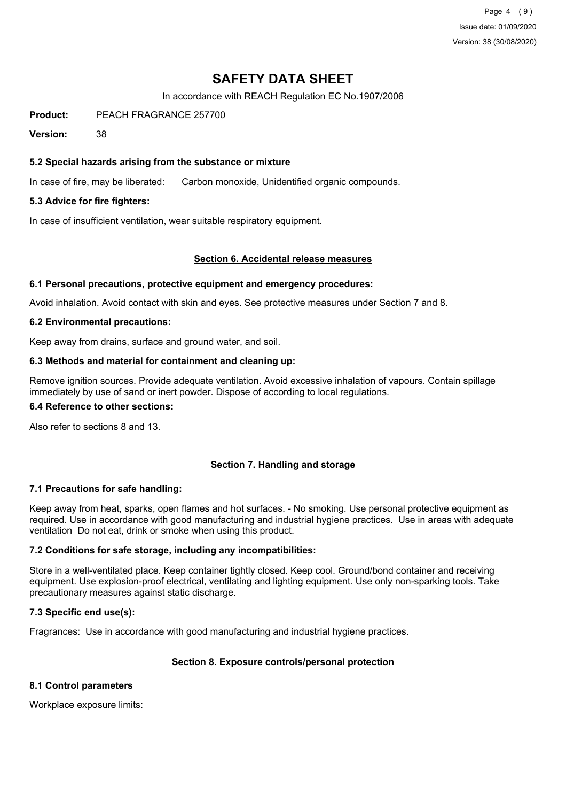Page 4 (9) Issue date: 01/09/2020 Version: 38 (30/08/2020)

# **SAFETY DATA SHEET**

In accordance with REACH Regulation EC No.1907/2006

**Product:** PEACH FRAGRANCE 257700

**Version:** 38

### **5.2 Special hazards arising from the substance or mixture**

In case of fire, may be liberated: Carbon monoxide, Unidentified organic compounds.

## **5.3 Advice for fire fighters:**

In case of insufficient ventilation, wear suitable respiratory equipment.

#### **Section 6. Accidental release measures**

#### **6.1 Personal precautions, protective equipment and emergency procedures:**

Avoid inhalation. Avoid contact with skin and eyes. See protective measures under Section 7 and 8.

#### **6.2 Environmental precautions:**

Keep away from drains, surface and ground water, and soil.

#### **6.3 Methods and material for containment and cleaning up:**

Remove ignition sources. Provide adequate ventilation. Avoid excessive inhalation of vapours. Contain spillage immediately by use of sand or inert powder. Dispose of according to local regulations.

#### **6.4 Reference to other sections:**

Also refer to sections 8 and 13.

### **Section 7. Handling and storage**

### **7.1 Precautions for safe handling:**

Keep away from heat, sparks, open flames and hot surfaces. - No smoking. Use personal protective equipment as required. Use in accordance with good manufacturing and industrial hygiene practices. Use in areas with adequate ventilation Do not eat, drink or smoke when using this product.

### **7.2 Conditions for safe storage, including any incompatibilities:**

Store in a well-ventilated place. Keep container tightly closed. Keep cool. Ground/bond container and receiving equipment. Use explosion-proof electrical, ventilating and lighting equipment. Use only non-sparking tools. Take precautionary measures against static discharge.

### **7.3 Specific end use(s):**

Fragrances: Use in accordance with good manufacturing and industrial hygiene practices.

### **Section 8. Exposure controls/personal protection**

#### **8.1 Control parameters**

Workplace exposure limits: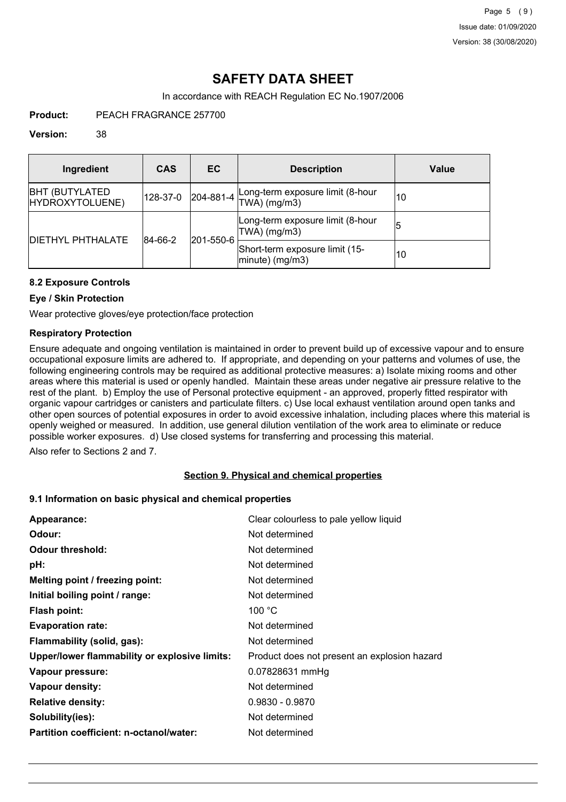# **SAFETY DATA SHEET**

In accordance with REACH Regulation EC No.1907/2006

**Product:** PEACH FRAGRANCE 257700

#### **Version:** 38

| Ingredient                                | <b>CAS</b> | <b>EC</b>         | <b>Description</b>                                   | Value |
|-------------------------------------------|------------|-------------------|------------------------------------------------------|-------|
| <b>BHT (BUTYLATED)</b><br>HYDROXYTOLUENE) | 128-37-0   | $ 204 - 881 - 4 $ | Long-term exposure limit (8-hour<br>$TWA)$ (mg/m3)   | 10    |
|                                           | 84-66-2    | 201-550-6         | Long-term exposure limit (8-hour<br>TWA) (mg/m3)     | 15    |
| <b>IDIETHYL PHTHALATE</b>                 |            |                   | Short-term exposure limit (15-<br>$ minute)$ (mg/m3) | 10    |

## **8.2 Exposure Controls**

### **Eye / Skin Protection**

Wear protective gloves/eye protection/face protection

## **Respiratory Protection**

Ensure adequate and ongoing ventilation is maintained in order to prevent build up of excessive vapour and to ensure occupational exposure limits are adhered to. If appropriate, and depending on your patterns and volumes of use, the following engineering controls may be required as additional protective measures: a) Isolate mixing rooms and other areas where this material is used or openly handled. Maintain these areas under negative air pressure relative to the rest of the plant. b) Employ the use of Personal protective equipment - an approved, properly fitted respirator with organic vapour cartridges or canisters and particulate filters. c) Use local exhaust ventilation around open tanks and other open sources of potential exposures in order to avoid excessive inhalation, including places where this material is openly weighed or measured. In addition, use general dilution ventilation of the work area to eliminate or reduce possible worker exposures. d) Use closed systems for transferring and processing this material.

Also refer to Sections 2 and 7.

## **Section 9. Physical and chemical properties**

### **9.1 Information on basic physical and chemical properties**

| Appearance:                                   | Clear colourless to pale yellow liquid       |
|-----------------------------------------------|----------------------------------------------|
| Odour:                                        | Not determined                               |
| <b>Odour threshold:</b>                       | Not determined                               |
| pH:                                           | Not determined                               |
| Melting point / freezing point:               | Not determined                               |
| Initial boiling point / range:                | Not determined                               |
| Flash point:                                  | 100 $\degree$ C                              |
| <b>Evaporation rate:</b>                      | Not determined                               |
| Flammability (solid, gas):                    | Not determined                               |
| Upper/lower flammability or explosive limits: | Product does not present an explosion hazard |
| Vapour pressure:                              | 0.07828631 mmHg                              |
| Vapour density:                               | Not determined                               |
| <b>Relative density:</b>                      | $0.9830 - 0.9870$                            |
| Solubility(ies):                              | Not determined                               |
| Partition coefficient: n-octanol/water:       | Not determined                               |
|                                               |                                              |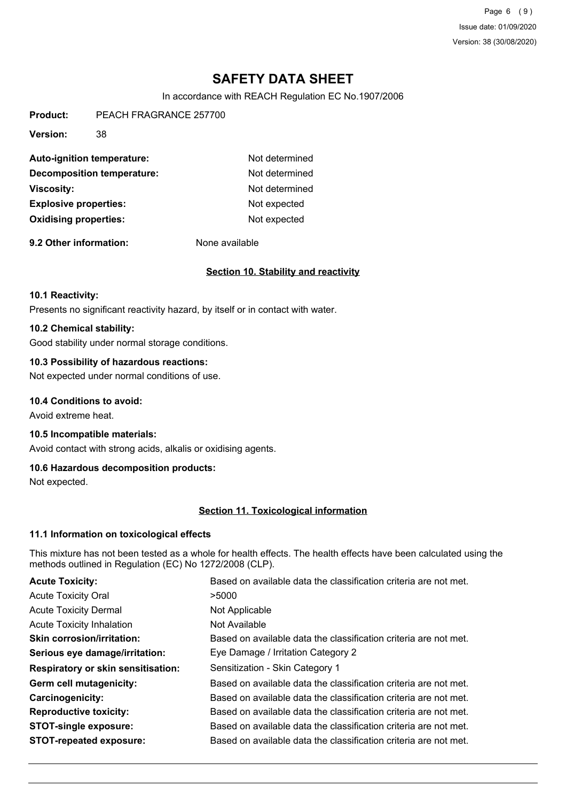Page 6 (9) Issue date: 01/09/2020 Version: 38 (30/08/2020)

# **SAFETY DATA SHEET**

In accordance with REACH Regulation EC No.1907/2006

**Product:** PEACH FRAGRANCE 257700

**Version:** 38

| Auto-ignition temperature:   | Not determined |
|------------------------------|----------------|
| Decomposition temperature:   | Not determined |
| <b>Viscosity:</b>            | Not determined |
| <b>Explosive properties:</b> | Not expected   |
| <b>Oxidising properties:</b> | Not expected   |

**9.2 Other information:** None available

## **Section 10. Stability and reactivity**

#### **10.1 Reactivity:**

Presents no significant reactivity hazard, by itself or in contact with water.

#### **10.2 Chemical stability:**

Good stability under normal storage conditions.

### **10.3 Possibility of hazardous reactions:**

Not expected under normal conditions of use.

## **10.4 Conditions to avoid:**

Avoid extreme heat.

### **10.5 Incompatible materials:**

Avoid contact with strong acids, alkalis or oxidising agents.

## **10.6 Hazardous decomposition products:**

Not expected.

### **Section 11. Toxicological information**

### **11.1 Information on toxicological effects**

This mixture has not been tested as a whole for health effects. The health effects have been calculated using the methods outlined in Regulation (EC) No 1272/2008 (CLP).

| <b>Acute Toxicity:</b>                    | Based on available data the classification criteria are not met. |
|-------------------------------------------|------------------------------------------------------------------|
| <b>Acute Toxicity Oral</b>                | >5000                                                            |
| <b>Acute Toxicity Dermal</b>              | Not Applicable                                                   |
| <b>Acute Toxicity Inhalation</b>          | Not Available                                                    |
| <b>Skin corrosion/irritation:</b>         | Based on available data the classification criteria are not met. |
| Serious eye damage/irritation:            | Eye Damage / Irritation Category 2                               |
| <b>Respiratory or skin sensitisation:</b> | Sensitization - Skin Category 1                                  |
| Germ cell mutagenicity:                   | Based on available data the classification criteria are not met. |
| <b>Carcinogenicity:</b>                   | Based on available data the classification criteria are not met. |
| <b>Reproductive toxicity:</b>             | Based on available data the classification criteria are not met. |
| <b>STOT-single exposure:</b>              | Based on available data the classification criteria are not met. |
| <b>STOT-repeated exposure:</b>            | Based on available data the classification criteria are not met. |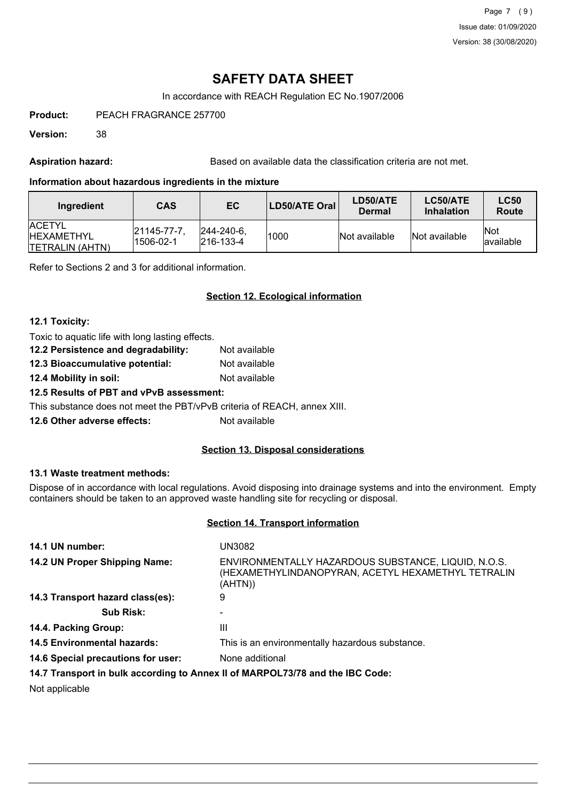Page 7 (9) Issue date: 01/09/2020 Version: 38 (30/08/2020)

# **SAFETY DATA SHEET**

In accordance with REACH Regulation EC No.1907/2006

**Product:** PEACH FRAGRANCE 257700

**Version:** 38

Aspiration hazard: **Based on available data the classification criteria are not met.** 

## **Information about hazardous ingredients in the mixture**

| Ingredient                                                     | <b>CAS</b>              | EC                                     | LD50/ATE Oral | LD50/ATE<br>Dermal | LC50/ATE<br><b>Inhalation</b> | <b>LC50</b><br>Route      |
|----------------------------------------------------------------|-------------------------|----------------------------------------|---------------|--------------------|-------------------------------|---------------------------|
| <b>IACETYL</b><br><b>IHEXAMETHYL</b><br><b>TETRALIN (AHTN)</b> | 21145-77-7<br>1506-02-1 | $ 244 - 240 - 6 $<br>$ 216 - 133 - 4 $ | 1000          | Not available      | Not available                 | <b>INot</b><br>lavailable |

Refer to Sections 2 and 3 for additional information.

## **Section 12. Ecological information**

### **12.1 Toxicity:**

| Not available |
|---------------|
| Not available |
| Not available |
|               |

## **12.5 Results of PBT and vPvB assessment:**

This substance does not meet the PBT/vPvB criteria of REACH, annex XIII.

**12.6 Other adverse effects:** Not available

## **Section 13. Disposal considerations**

## **13.1 Waste treatment methods:**

Dispose of in accordance with local regulations. Avoid disposing into drainage systems and into the environment. Empty containers should be taken to an approved waste handling site for recycling or disposal.

### **Section 14. Transport information**

| 14.1 UN number:                    | UN3082                                                                                                               |
|------------------------------------|----------------------------------------------------------------------------------------------------------------------|
| 14.2 UN Proper Shipping Name:      | ENVIRONMENTALLY HAZARDOUS SUBSTANCE, LIQUID, N.O.S.<br>(HEXAMETHYLINDANOPYRAN, ACETYL HEXAMETHYL TETRALIN<br>(AHTN)) |
| 14.3 Transport hazard class(es):   | 9                                                                                                                    |
| <b>Sub Risk:</b>                   |                                                                                                                      |
| 14.4. Packing Group:               | Ш                                                                                                                    |
| <b>14.5 Environmental hazards:</b> | This is an environmentally hazardous substance.                                                                      |
| 14.6 Special precautions for user: | None additional                                                                                                      |
|                                    | 14.7 Transport in bulk according to Annex II of MARPOL73/78 and the IBC Code:                                        |

Not applicable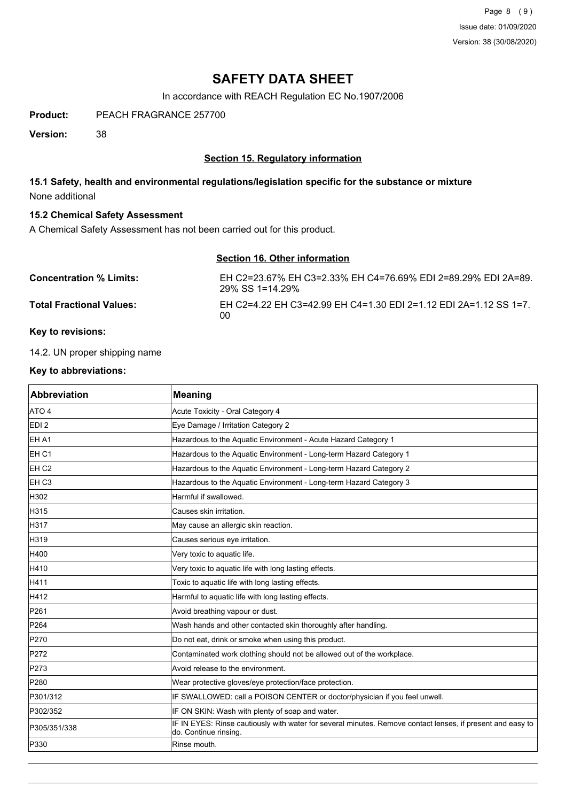Page 8 (9) Issue date: 01/09/2020 Version: 38 (30/08/2020)

# **SAFETY DATA SHEET**

In accordance with REACH Regulation EC No.1907/2006

**Product:** PEACH FRAGRANCE 257700

**Version:** 38

## **Section 15. Regulatory information**

## **15.1 Safety, health and environmental regulations/legislation specific for the substance or mixture** None additional

### **15.2 Chemical Safety Assessment**

A Chemical Safety Assessment has not been carried out for this product.

|                                 | Section 16. Other information                                                    |
|---------------------------------|----------------------------------------------------------------------------------|
| <b>Concentration % Limits:</b>  | EH C2=23.67% EH C3=2.33% EH C4=76.69% EDI 2=89.29% EDI 2A=89.<br>29% SS 1=14.29% |
| <b>Total Fractional Values:</b> | EH C2=4.22 EH C3=42.99 EH C4=1.30 EDI 2=1.12 EDI 2A=1.12 SS 1=7.<br>00           |

### **Key to revisions:**

14.2. UN proper shipping name

## **Key to abbreviations:**

| <b>Abbreviation</b> | <b>Meaning</b>                                                                                                                      |
|---------------------|-------------------------------------------------------------------------------------------------------------------------------------|
| ATO 4               | Acute Toxicity - Oral Category 4                                                                                                    |
| EDI <sub>2</sub>    | Eye Damage / Irritation Category 2                                                                                                  |
| EH A1               | Hazardous to the Aquatic Environment - Acute Hazard Category 1                                                                      |
| EH <sub>C1</sub>    | Hazardous to the Aquatic Environment - Long-term Hazard Category 1                                                                  |
| EH <sub>C2</sub>    | Hazardous to the Aquatic Environment - Long-term Hazard Category 2                                                                  |
| EH <sub>C3</sub>    | Hazardous to the Aquatic Environment - Long-term Hazard Category 3                                                                  |
| H302                | Harmful if swallowed.                                                                                                               |
| H315                | Causes skin irritation.                                                                                                             |
| H317                | May cause an allergic skin reaction.                                                                                                |
| H319                | Causes serious eye irritation.                                                                                                      |
| H400                | Very toxic to aquatic life.                                                                                                         |
| H410                | Very toxic to aquatic life with long lasting effects.                                                                               |
| H411                | Toxic to aquatic life with long lasting effects.                                                                                    |
| H412                | Harmful to aquatic life with long lasting effects.                                                                                  |
| P261                | Avoid breathing vapour or dust.                                                                                                     |
| P264                | Wash hands and other contacted skin thoroughly after handling.                                                                      |
| P270                | Do not eat, drink or smoke when using this product.                                                                                 |
| P272                | Contaminated work clothing should not be allowed out of the workplace.                                                              |
| P273                | Avoid release to the environment.                                                                                                   |
| P280                | Wear protective gloves/eye protection/face protection.                                                                              |
| P301/312            | IF SWALLOWED: call a POISON CENTER or doctor/physician if you feel unwell.                                                          |
| P302/352            | IF ON SKIN: Wash with plenty of soap and water.                                                                                     |
| P305/351/338        | IF IN EYES: Rinse cautiously with water for several minutes. Remove contact lenses, if present and easy to<br>do. Continue rinsing. |
| P330                | Rinse mouth.                                                                                                                        |